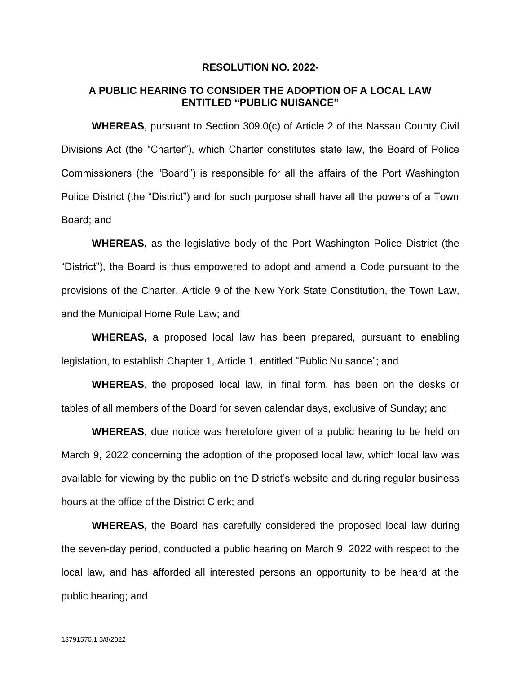#### **RESOLUTION NO. 2022-**

#### **A PUBLIC HEARING TO CONSIDER THE ADOPTION OF A LOCAL LAW ENTITLED "PUBLIC NUISANCE"**

**WHEREAS**, pursuant to Section 309.0(c) of Article 2 of the Nassau County Civil Divisions Act (the "Charter"), which Charter constitutes state law, the Board of Police Commissioners (the "Board") is responsible for all the affairs of the Port Washington Police District (the "District") and for such purpose shall have all the powers of a Town Board; and

**WHEREAS,** as the legislative body of the Port Washington Police District (the "District"), the Board is thus empowered to adopt and amend a Code pursuant to the provisions of the Charter, Article 9 of the New York State Constitution, the Town Law, and the Municipal Home Rule Law; and

**WHEREAS,** a proposed local law has been prepared, pursuant to enabling legislation, to establish Chapter 1, Article 1, entitled "Public Nuisance"; and

**WHEREAS**, the proposed local law, in final form, has been on the desks or tables of all members of the Board for seven calendar days, exclusive of Sunday; and

**WHEREAS**, due notice was heretofore given of a public hearing to be held on March 9, 2022 concerning the adoption of the proposed local law, which local law was available for viewing by the public on the District's website and during regular business hours at the office of the District Clerk; and

**WHEREAS,** the Board has carefully considered the proposed local law during the seven-day period, conducted a public hearing on March 9, 2022 with respect to the local law, and has afforded all interested persons an opportunity to be heard at the public hearing; and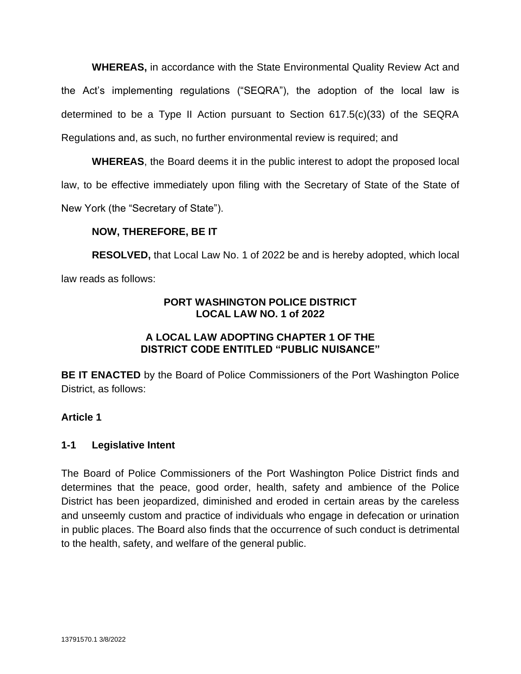**WHEREAS,** in accordance with the State Environmental Quality Review Act and the Act's implementing regulations ("SEQRA"), the adoption of the local law is determined to be a Type II Action pursuant to Section 617.5(c)(33) of the SEQRA Regulations and, as such, no further environmental review is required; and

**WHEREAS**, the Board deems it in the public interest to adopt the proposed local law, to be effective immediately upon filing with the Secretary of State of the State of New York (the "Secretary of State").

# **NOW, THEREFORE, BE IT**

**RESOLVED,** that Local Law No. 1 of 2022 be and is hereby adopted, which local law reads as follows:

## **PORT WASHINGTON POLICE DISTRICT LOCAL LAW NO. 1 of 2022**

# **A LOCAL LAW ADOPTING CHAPTER 1 OF THE DISTRICT CODE ENTITLED "PUBLIC NUISANCE"**

**BE IT ENACTED** by the Board of Police Commissioners of the Port Washington Police District, as follows:

### **Article 1**

### **1-1 Legislative Intent**

The Board of Police Commissioners of the Port Washington Police District finds and determines that the peace, good order, health, safety and ambience of the Police District has been jeopardized, diminished and eroded in certain areas by the careless and unseemly custom and practice of individuals who engage in defecation or urination in public places. The Board also finds that the occurrence of such conduct is detrimental to the health, safety, and welfare of the general public.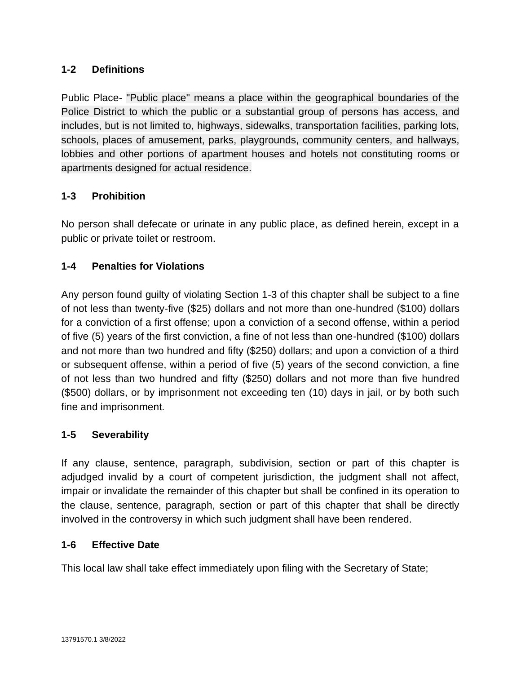# **1-2 Definitions**

Public Place- "Public place" means a place within the geographical boundaries of the Police District to which the public or a substantial group of persons has access, and includes, but is not limited to, highways, sidewalks, transportation facilities, parking lots, schools, places of amusement, parks, playgrounds, community centers, and hallways, lobbies and other portions of apartment houses and hotels not constituting rooms or apartments designed for actual residence.

# **1-3 Prohibition**

No person shall defecate or urinate in any public place, as defined herein, except in a public or private toilet or restroom.

# **1-4 Penalties for Violations**

Any person found guilty of violating Section 1-3 of this chapter shall be subject to a fine of not less than twenty-five (\$25) dollars and not more than one-hundred (\$100) dollars for a conviction of a first offense; upon a conviction of a second offense, within a period of five (5) years of the first conviction, a fine of not less than one-hundred (\$100) dollars and not more than two hundred and fifty (\$250) dollars; and upon a conviction of a third or subsequent offense, within a period of five (5) years of the second conviction, a fine of not less than two hundred and fifty (\$250) dollars and not more than five hundred (\$500) dollars, or by imprisonment not exceeding ten (10) days in jail, or by both such fine and imprisonment.

# **1-5 Severability**

If any clause, sentence, paragraph, subdivision, section or part of this chapter is adjudged invalid by a court of competent jurisdiction, the judgment shall not affect, impair or invalidate the remainder of this chapter but shall be confined in its operation to the clause, sentence, paragraph, section or part of this chapter that shall be directly involved in the controversy in which such judgment shall have been rendered.

### **1-6 Effective Date**

This local law shall take effect immediately upon filing with the Secretary of State;